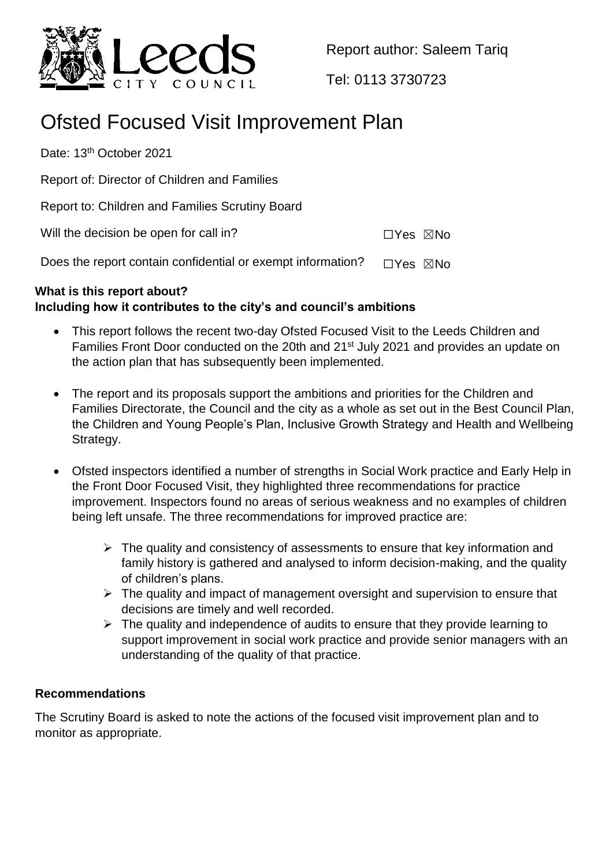

Report author: Saleem Tariq

Tel: 0113 3730723

# Ofsted Focused Visit Improvement Plan

Date: 13<sup>th</sup> October 2021

Report of: Director of Children and Families

Report to: Children and Families Scrutiny Board

Will the decision be open for call in? ☐Yes ☒No

Does the report contain confidential or exempt information?  $□Yes \triangle$ No

## **What is this report about? Including how it contributes to the city's and council's ambitions**

- This report follows the recent two-day Ofsted Focused Visit to the Leeds Children and Families Front Door conducted on the 20th and 21<sup>st</sup> July 2021 and provides an update on the action plan that has subsequently been implemented.
- The report and its proposals support the ambitions and priorities for the Children and Families Directorate, the Council and the city as a whole as set out in the Best Council Plan, the Children and Young People's Plan, Inclusive Growth Strategy and Health and Wellbeing Strategy.
- Ofsted inspectors identified a number of strengths in Social Work practice and Early Help in the Front Door Focused Visit, they highlighted three recommendations for practice improvement. Inspectors found no areas of serious weakness and no examples of children being left unsafe. The three recommendations for improved practice are:
	- $\triangleright$  The quality and consistency of assessments to ensure that key information and family history is gathered and analysed to inform decision-making, and the quality of children's plans.
	- $\triangleright$  The quality and impact of management oversight and supervision to ensure that decisions are timely and well recorded.
	- $\triangleright$  The quality and independence of audits to ensure that they provide learning to support improvement in social work practice and provide senior managers with an understanding of the quality of that practice.

### **Recommendations**

The Scrutiny Board is asked to note the actions of the focused visit improvement plan and to monitor as appropriate.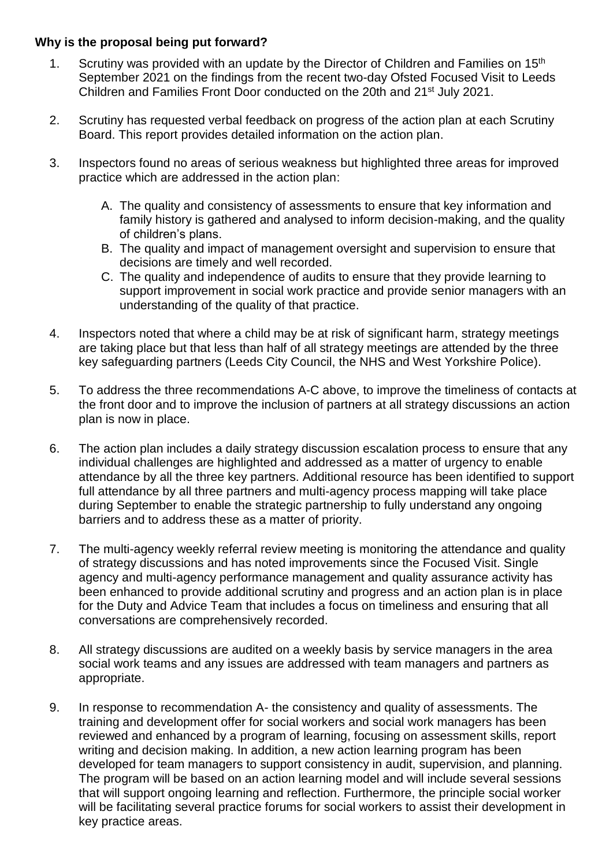#### **Why is the proposal being put forward?**

- 1. Scrutiny was provided with an update by the Director of Children and Families on 15<sup>th</sup> September 2021 on the findings from the recent two-day Ofsted Focused Visit to Leeds Children and Families Front Door conducted on the 20th and 21st July 2021.
- 2. Scrutiny has requested verbal feedback on progress of the action plan at each Scrutiny Board. This report provides detailed information on the action plan.
- 3. Inspectors found no areas of serious weakness but highlighted three areas for improved practice which are addressed in the action plan:
	- A. The quality and consistency of assessments to ensure that key information and family history is gathered and analysed to inform decision-making, and the quality of children's plans.
	- B. The quality and impact of management oversight and supervision to ensure that decisions are timely and well recorded.
	- C. The quality and independence of audits to ensure that they provide learning to support improvement in social work practice and provide senior managers with an understanding of the quality of that practice.
- 4. Inspectors noted that where a child may be at risk of significant harm, strategy meetings are taking place but that less than half of all strategy meetings are attended by the three key safeguarding partners (Leeds City Council, the NHS and West Yorkshire Police).
- 5. To address the three recommendations A-C above, to improve the timeliness of contacts at the front door and to improve the inclusion of partners at all strategy discussions an action plan is now in place.
- 6. The action plan includes a daily strategy discussion escalation process to ensure that any individual challenges are highlighted and addressed as a matter of urgency to enable attendance by all the three key partners. Additional resource has been identified to support full attendance by all three partners and multi-agency process mapping will take place during September to enable the strategic partnership to fully understand any ongoing barriers and to address these as a matter of priority.
- 7. The multi-agency weekly referral review meeting is monitoring the attendance and quality of strategy discussions and has noted improvements since the Focused Visit. Single agency and multi-agency performance management and quality assurance activity has been enhanced to provide additional scrutiny and progress and an action plan is in place for the Duty and Advice Team that includes a focus on timeliness and ensuring that all conversations are comprehensively recorded.
- 8. All strategy discussions are audited on a weekly basis by service managers in the area social work teams and any issues are addressed with team managers and partners as appropriate.
- 9. In response to recommendation A- the consistency and quality of assessments. The training and development offer for social workers and social work managers has been reviewed and enhanced by a program of learning, focusing on assessment skills, report writing and decision making. In addition, a new action learning program has been developed for team managers to support consistency in audit, supervision, and planning. The program will be based on an action learning model and will include several sessions that will support ongoing learning and reflection. Furthermore, the principle social worker will be facilitating several practice forums for social workers to assist their development in key practice areas.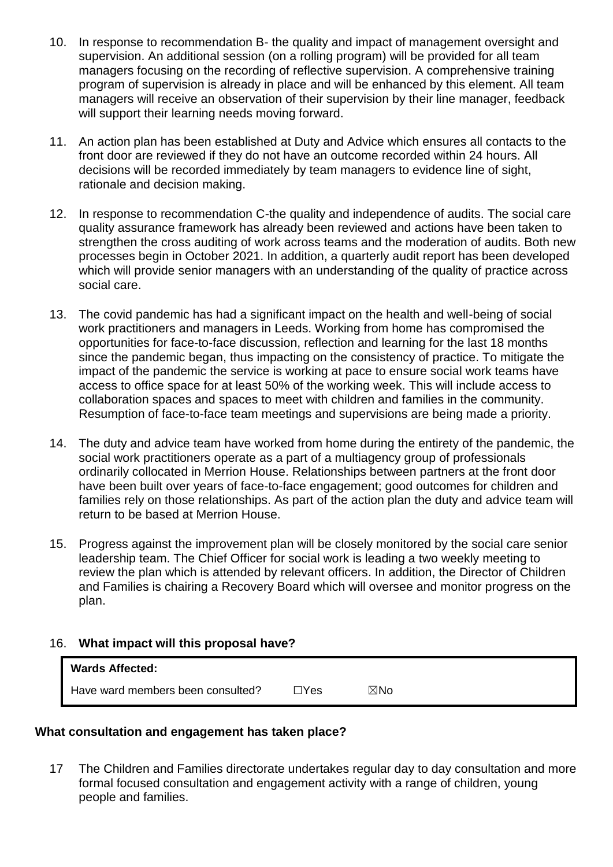- 10. In response to recommendation B- the quality and impact of management oversight and supervision. An additional session (on a rolling program) will be provided for all team managers focusing on the recording of reflective supervision. A comprehensive training program of supervision is already in place and will be enhanced by this element. All team managers will receive an observation of their supervision by their line manager, feedback will support their learning needs moving forward.
- 11. An action plan has been established at Duty and Advice which ensures all contacts to the front door are reviewed if they do not have an outcome recorded within 24 hours. All decisions will be recorded immediately by team managers to evidence line of sight, rationale and decision making.
- 12. In response to recommendation C-the quality and independence of audits. The social care quality assurance framework has already been reviewed and actions have been taken to strengthen the cross auditing of work across teams and the moderation of audits. Both new processes begin in October 2021. In addition, a quarterly audit report has been developed which will provide senior managers with an understanding of the quality of practice across social care.
- 13. The covid pandemic has had a significant impact on the health and well-being of social work practitioners and managers in Leeds. Working from home has compromised the opportunities for face-to-face discussion, reflection and learning for the last 18 months since the pandemic began, thus impacting on the consistency of practice. To mitigate the impact of the pandemic the service is working at pace to ensure social work teams have access to office space for at least 50% of the working week. This will include access to collaboration spaces and spaces to meet with children and families in the community. Resumption of face-to-face team meetings and supervisions are being made a priority.
- 14. The duty and advice team have worked from home during the entirety of the pandemic, the social work practitioners operate as a part of a multiagency group of professionals ordinarily collocated in Merrion House. Relationships between partners at the front door have been built over years of face-to-face engagement; good outcomes for children and families rely on those relationships. As part of the action plan the duty and advice team will return to be based at Merrion House.
- 15. Progress against the improvement plan will be closely monitored by the social care senior leadership team. The Chief Officer for social work is leading a two weekly meeting to review the plan which is attended by relevant officers. In addition, the Director of Children and Families is chairing a Recovery Board which will oversee and monitor progress on the plan.

### 16. **What impact will this proposal have?**

| <b>Wards Affected:</b>            |              |     |
|-----------------------------------|--------------|-----|
| Have ward members been consulted? | $\sqcap$ Yes | ⊠No |

#### **What consultation and engagement has taken place?**

17 The Children and Families directorate undertakes regular day to day consultation and more formal focused consultation and engagement activity with a range of children, young people and families.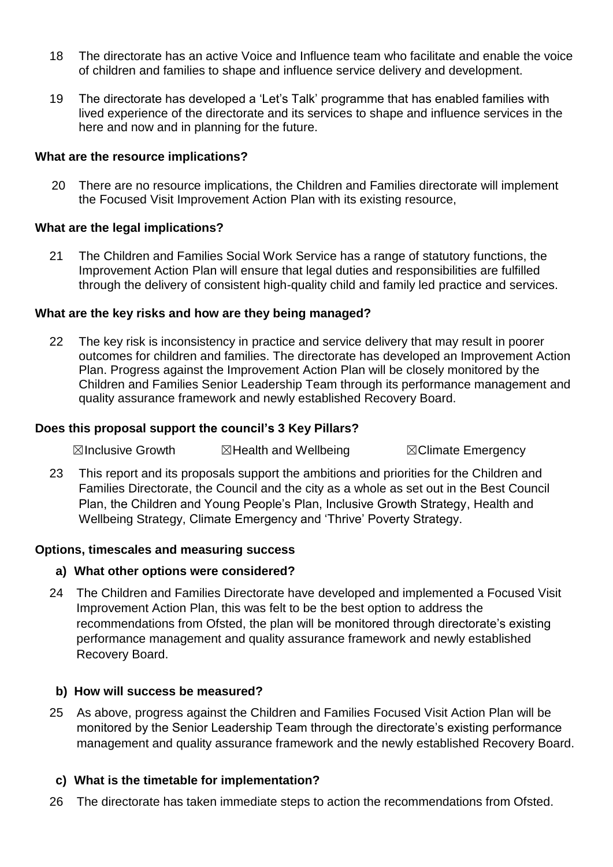- 18 The directorate has an active Voice and Influence team who facilitate and enable the voice of children and families to shape and influence service delivery and development.
- 19 The directorate has developed a 'Let's Talk' programme that has enabled families with lived experience of the directorate and its services to shape and influence services in the here and now and in planning for the future.

#### **What are the resource implications?**

20 There are no resource implications, the Children and Families directorate will implement the Focused Visit Improvement Action Plan with its existing resource,

#### **What are the legal implications?**

21 The Children and Families Social Work Service has a range of statutory functions, the Improvement Action Plan will ensure that legal duties and responsibilities are fulfilled through the delivery of consistent high-quality child and family led practice and services.

#### **What are the key risks and how are they being managed?**

22 The key risk is inconsistency in practice and service delivery that may result in poorer outcomes for children and families. The directorate has developed an Improvement Action Plan. Progress against the Improvement Action Plan will be closely monitored by the Children and Families Senior Leadership Team through its performance management and quality assurance framework and newly established Recovery Board.

#### **Does this proposal support the council's 3 Key Pillars?**

 $\boxtimes$ Inclusive Growth  $\boxtimes$ Health and Wellbeing  $\boxtimes$ Climate Emergency

23 This report and its proposals support the ambitions and priorities for the Children and Families Directorate, the Council and the city as a whole as set out in the Best Council Plan, the Children and Young People's Plan, Inclusive Growth Strategy, Health and Wellbeing Strategy, Climate Emergency and 'Thrive' Poverty Strategy.

#### **Options, timescales and measuring success**

#### **a) What other options were considered?**

24 The Children and Families Directorate have developed and implemented a Focused Visit Improvement Action Plan, this was felt to be the best option to address the recommendations from Ofsted, the plan will be monitored through directorate's existing performance management and quality assurance framework and newly established Recovery Board.

#### **b) How will success be measured?**

25 As above, progress against the Children and Families Focused Visit Action Plan will be monitored by the Senior Leadership Team through the directorate's existing performance management and quality assurance framework and the newly established Recovery Board.

#### **c) What is the timetable for implementation?**

26 The directorate has taken immediate steps to action the recommendations from Ofsted.